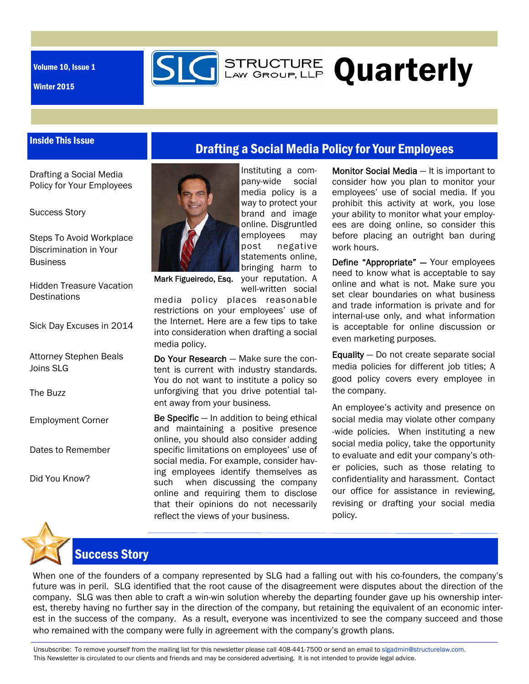Volume 10, Issue 1

Winter 2015

# **SIG** STRUCTURE Quarterly

#### Inside This Issue

Drafting a Social Media Policy for Your Employees

Success Story

Steps To Avoid Workplace Discrimination in Your **Business** 

Hidden Treasure Vacation **Destinations** 

Sick Day Excuses in 2014

Attorney Stephen Beals Joins SLG

The Buzz

Employment Corner

Dates to Remember

Did You Know?



Instituting a company-wide social media policy is a way to protect your brand and image online. Disgruntled employees may post negative statements online, bringing harm to

Drafting a Social Media Policy for Your Employees

Mark Figueiredo, Esq. your reputation. A well-written social

media policy places reasonable restrictions on your employees' use of the Internet. Here are a few tips to take into consideration when drafting a social media policy.

Do Your Research — Make sure the content is current with industry standards. You do not want to institute a policy so unforgiving that you drive potential talent away from your business.

Be Specific — In addition to being ethical and maintaining a positive presence online, you should also consider adding specific limitations on employees' use of social media. For example, consider having employees identify themselves as such when discussing the company online and requiring them to disclose that their opinions do not necessarily reflect the views of your business.

Monitor Social Media — It is important to consider how you plan to monitor your employees' use of social media. If you prohibit this activity at work, you lose your ability to monitor what your employees are doing online, so consider this before placing an outright ban during work hours.

Define "Appropriate" — Your employees need to know what is acceptable to say online and what is not. Make sure you set clear boundaries on what business and trade information is private and for internal-use only, and what information is acceptable for online discussion or even marketing purposes.

Equality — Do not create separate social media policies for different job titles; A good policy covers every employee in the company.

An employee's activity and presence on social media may violate other company -wide policies. When instituting a new social media policy, take the opportunity to evaluate and edit your company's other policies, such as those relating to confidentiality and harassment. Contact our office for assistance in reviewing, revising or drafting your social media policy.



## Success Story

When one of the founders of a company represented by SLG had a falling out with his co-founders, the company's future was in peril. SLG identified that the root cause of the disagreement were disputes about the direction of the company. SLG was then able to craft a win-win solution whereby the departing founder gave up his ownership interest, thereby having no further say in the direction of the company, but retaining the equivalent of an economic interest in the success of the company. As a result, everyone was incentivized to see the company succeed and those who remained with the company were fully in agreement with the company's growth plans.

Unsubscribe: To remove yourself from the mailing list for this newsletter please call 408-441-7500 or send an email to slgadmin@structurelaw.com. This Newsletter is circulated to our clients and friends and may be considered advertising. It is not intended to provide legal advice.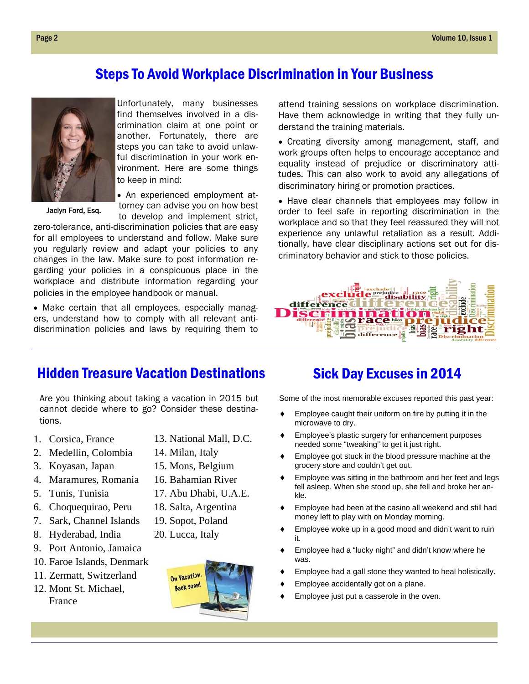#### Steps To Avoid Workplace Discrimination in Your Business



Jaclyn Ford, Esq.

Unfortunately, many businesses find themselves involved in a discrimination claim at one point or another. Fortunately, there are steps you can take to avoid unlawful discrimination in your work environment. Here are some things to keep in mind:

 An experienced employment attorney can advise you on how best to develop and implement strict,

zero-tolerance, anti-discrimination policies that are easy for all employees to understand and follow. Make sure you regularly review and adapt your policies to any changes in the law. Make sure to post information regarding your policies in a conspicuous place in the workplace and distribute information regarding your policies in the employee handbook or manual.

 Make certain that all employees, especially managers, understand how to comply with all relevant antidiscrimination policies and laws by requiring them to attend training sessions on workplace discrimination. Have them acknowledge in writing that they fully understand the training materials.

 Creating diversity among management, staff, and work groups often helps to encourage acceptance and equality instead of prejudice or discriminatory attitudes. This can also work to avoid any allegations of discriminatory hiring or promotion practices.

• Have clear channels that employees may follow in order to feel safe in reporting discrimination in the workplace and so that they feel reassured they will not experience any unlawful retaliation as a result. Additionally, have clear disciplinary actions set out for discriminatory behavior and stick to those policies.



#### Hidden Treasure Vacation Destinations

Are you thinking about taking a vacation in 2015 but cannot decide where to go? Consider these destinations.

- 1. Corsica, France
- 2. Medellin, Colombia
- 3. Koyasan, Japan
- 4. Maramures, Romania
- 5. Tunis, Tunisia
- 6. Choquequirao, Peru
- 7. Sark, Channel Islands
- 8. Hyderabad, India
- 9. Port Antonio, Jamaica
- 10. Faroe Islands, Denmark
- 11. Zermatt, Switzerland
- 12. Mont St. Michael, France
- 13. National Mall, D.C.
- 14. Milan, Italy
- 15. Mons, Belgium
- 16. Bahamian River
- 17. Abu Dhabi, U.A.E.
- 18. Salta, Argentina
- 19. Sopot, Poland
- 20. Lucca, Italy



### Sick Day Excuses in 2014

Some of the most memorable excuses reported this past year:

- Employee caught their uniform on fire by putting it in the microwave to dry.
- Employee's plastic surgery for enhancement purposes needed some "tweaking" to get it just right.
- Employee got stuck in the blood pressure machine at the grocery store and couldn't get out.
- ◆ Employee was sitting in the bathroom and her feet and legs fell asleep. When she stood up, she fell and broke her ankle.
- Employee had been at the casino all weekend and still had money left to play with on Monday morning.
- ◆ Employee woke up in a good mood and didn't want to ruin it.
- Employee had a "lucky night" and didn't know where he was.
- Employee had a gall stone they wanted to heal holistically.
- Employee accidentally got on a plane.
- Employee just put a casserole in the oven.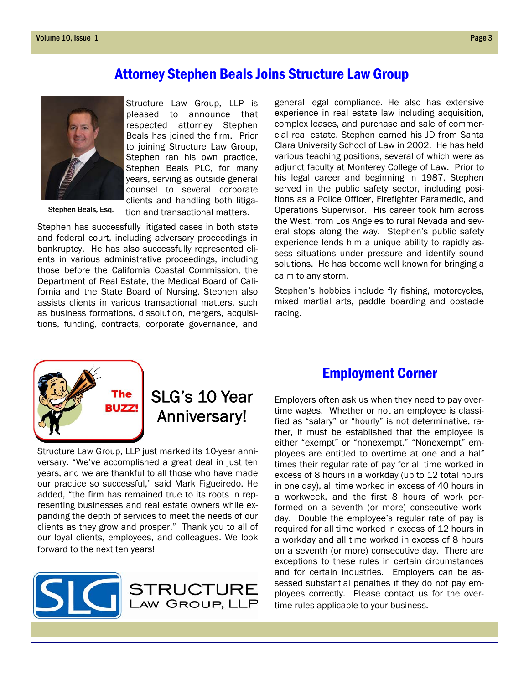#### Attorney Stephen Beals Joins Structure Law Group



Stephen Beals, Esq.

Structure Law Group, LLP is pleased to announce that respected attorney Stephen Beals has joined the firm. Prior to joining Structure Law Group, Stephen ran his own practice, Stephen Beals PLC, for many years, serving as outside general counsel to several corporate clients and handling both litiga-

tion and transactional matters.

Stephen has successfully litigated cases in both state and federal court, including adversary proceedings in bankruptcy. He has also successfully represented clients in various administrative proceedings, including those before the California Coastal Commission, the Department of Real Estate, the Medical Board of California and the State Board of Nursing. Stephen also assists clients in various transactional matters, such as business formations, dissolution, mergers, acquisitions, funding, contracts, corporate governance, and general legal compliance. He also has extensive experience in real estate law including acquisition, complex leases, and purchase and sale of commercial real estate. Stephen earned his JD from Santa Clara University School of Law in 2002. He has held various teaching positions, several of which were as adjunct faculty at Monterey College of Law. Prior to his legal career and beginning in 1987, Stephen served in the public safety sector, including positions as a Police Officer, Firefighter Paramedic, and Operations Supervisor. His career took him across the West, from Los Angeles to rural Nevada and several stops along the way. Stephen's public safety experience lends him a unique ability to rapidly assess situations under pressure and identify sound solutions. He has become well known for bringing a calm to any storm.

Stephen's hobbies include fly fishing, motorcycles, mixed martial arts, paddle boarding and obstacle racing.



## SLG's 10 Year Anniversary!

Structure Law Group, LLP just marked its 10-year anniversary. "We've accomplished a great deal in just ten years, and we are thankful to all those who have made our practice so successful," said Mark Figueiredo. He added, "the firm has remained true to its roots in representing businesses and real estate owners while expanding the depth of services to meet the needs of our clients as they grow and prosper." Thank you to all of our loyal clients, employees, and colleagues. We look forward to the next ten years!



#### Employment Corner

Employers often ask us when they need to pay overtime wages. Whether or not an employee is classified as "salary" or "hourly" is not determinative, rather, it must be established that the employee is either "exempt" or "nonexempt." "Nonexempt" employees are entitled to overtime at one and a half times their regular rate of pay for all time worked in excess of 8 hours in a workday (up to 12 total hours in one day), all time worked in excess of 40 hours in a workweek, and the first 8 hours of work performed on a seventh (or more) consecutive workday. Double the employee's regular rate of pay is required for all time worked in excess of 12 hours in a workday and all time worked in excess of 8 hours on a seventh (or more) consecutive day. There are exceptions to these rules in certain circumstances and for certain industries. Employers can be assessed substantial penalties if they do not pay employees correctly. Please contact us for the overtime rules applicable to your business.